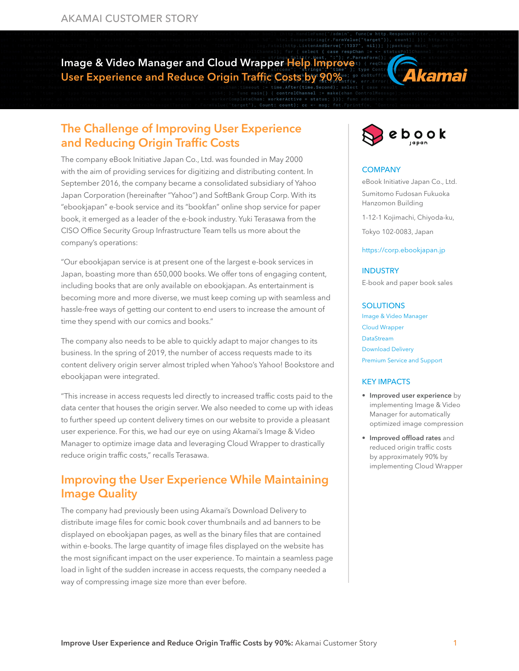Image & Video Manager and Cloud Wrapper Help Improve User Experience and Reduce Origin Traffic Costs by 90%



## The Challenge of Improving User Experience and Reducing Origin Traffic Costs

The company eBook Initiative Japan Co., Ltd. was founded in May 2000 with the aim of providing services for digitizing and distributing content. In September 2016, the company became a consolidated subsidiary of Yahoo Japan Corporation (hereinafter "Yahoo") and SoftBank Group Corp. With its "ebookjapan" e-book service and its "bookfan" online shop service for paper book, it emerged as a leader of the e-book industry. Yuki Terasawa from the CISO Office Security Group Infrastructure Team tells us more about the company's operations:

"Our ebookjapan service is at present one of the largest e-book services in Japan, boasting more than 650,000 books. We offer tons of engaging content, including books that are only available on ebookjapan. As entertainment is becoming more and more diverse, we must keep coming up with seamless and hassle-free ways of getting our content to end users to increase the amount of time they spend with our comics and books."

The company also needs to be able to quickly adapt to major changes to its business. In the spring of 2019, the number of access requests made to its content delivery origin server almost tripled when Yahoo's Yahoo! Bookstore and ebookjapan were integrated.

"This increase in access requests led directly to increased traffic costs paid to the data center that houses the origin server. We also needed to come up with ideas to further speed up content delivery times on our website to provide a pleasant user experience. For this, we had our eye on using Akamai's Image & Video Manager to optimize image data and leveraging Cloud Wrapper to drastically reduce origin traffic costs," recalls Terasawa.

# Improving the User Experience While Maintaining Image Quality

The company had previously been using Akamai's Download Delivery to distribute image files for comic book cover thumbnails and ad banners to be displayed on ebookjapan pages, as well as the binary files that are contained within e-books. The large quantity of image files displayed on the website has the most significant impact on the user experience. To maintain a seamless page load in light of the sudden increase in access requests, the company needed a way of compressing image size more than ever before.



### **COMPANY**

eBook Initiative Japan Co., Ltd. Sumitomo Fudosan Fukuoka Hanzomon Building

1-12-1 Kojimachi, Chiyoda-ku,

Tokyo 102-0083, Japan

#### https://corp.ebookjapan.jp

### **INDUSTRY**

E-book and paper book sales

#### **SOLUTIONS**

[Image & Video Manager](https://www.akamai.com/us/en/products/performance/image-and-video-manager.jsp) [Cloud Wrapper](https://www.akamai.com/us/en/products/media-delivery/cloud-wrapper.jsp) [DataStream](https://www.akamai.com/us/en/products/performance/datastream.jsp) [Download Delivery](https://www.akamai.com/us/en/products/media-delivery/download-delivery.jsp) [Premium Service and Support](https://www.akamai.com/us/en/services/premium-service-support.jsp)

#### KEY IMPACTS

- Improved user experience by implementing Image & Video Manager for automatically optimized image compression
- Improved offload rates and reduced origin traffic costs by approximately 90% by implementing Cloud Wrapper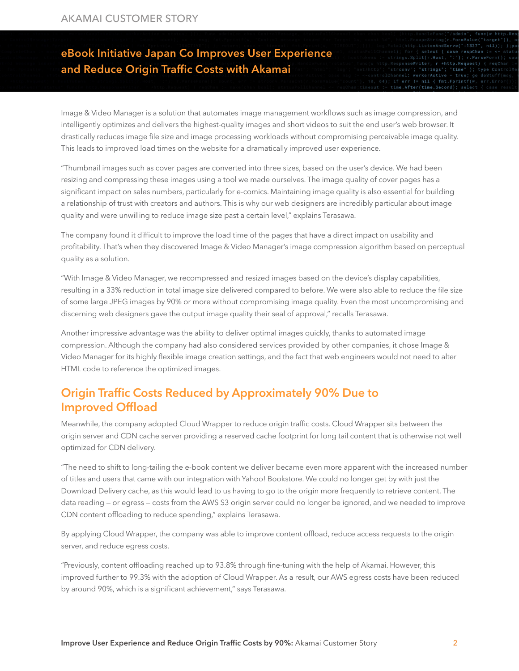## eBook Initiative Japan Co Improves User Experience and Reduce Origin Traffic Costs with Akamai

Image & Video Manager is a solution that automates image management workflows such as image compression, and intelligently optimizes and delivers the highest-quality images and short videos to suit the end user's web browser. It drastically reduces image file size and image processing workloads without compromising perceivable image quality. This leads to improved load times on the website for a dramatically improved user experience.

"Thumbnail images such as cover pages are converted into three sizes, based on the user's device. We had been resizing and compressing these images using a tool we made ourselves. The image quality of cover pages has a significant impact on sales numbers, particularly for e-comics. Maintaining image quality is also essential for building a relationship of trust with creators and authors. This is why our web designers are incredibly particular about image quality and were unwilling to reduce image size past a certain level," explains Terasawa.

The company found it difficult to improve the load time of the pages that have a direct impact on usability and profitability. That's when they discovered Image & Video Manager's image compression algorithm based on perceptual quality as a solution.

"With Image & Video Manager, we recompressed and resized images based on the device's display capabilities, resulting in a 33% reduction in total image size delivered compared to before. We were also able to reduce the file size of some large JPEG images by 90% or more without compromising image quality. Even the most uncompromising and discerning web designers gave the output image quality their seal of approval," recalls Terasawa.

Another impressive advantage was the ability to deliver optimal images quickly, thanks to automated image compression. Although the company had also considered services provided by other companies, it chose Image & Video Manager for its highly flexible image creation settings, and the fact that web engineers would not need to alter HTML code to reference the optimized images.

### Origin Traffic Costs Reduced by Approximately 90% Due to Improved Offload

Meanwhile, the company adopted Cloud Wrapper to reduce origin traffic costs. Cloud Wrapper sits between the origin server and CDN cache server providing a reserved cache footprint for long tail content that is otherwise not well optimized for CDN delivery.

"The need to shift to long-tailing the e-book content we deliver became even more apparent with the increased number of titles and users that came with our integration with Yahoo! Bookstore. We could no longer get by with just the Download Delivery cache, as this would lead to us having to go to the origin more frequently to retrieve content. The data reading — or egress — costs from the AWS S3 origin server could no longer be ignored, and we needed to improve CDN content offloading to reduce spending," explains Terasawa.

By applying Cloud Wrapper, the company was able to improve content offload, reduce access requests to the origin server, and reduce egress costs.

"Previously, content offloading reached up to 93.8% through fine-tuning with the help of Akamai. However, this improved further to 99.3% with the adoption of Cloud Wrapper. As a result, our AWS egress costs have been reduced by around 90%, which is a significant achievement," says Terasawa.